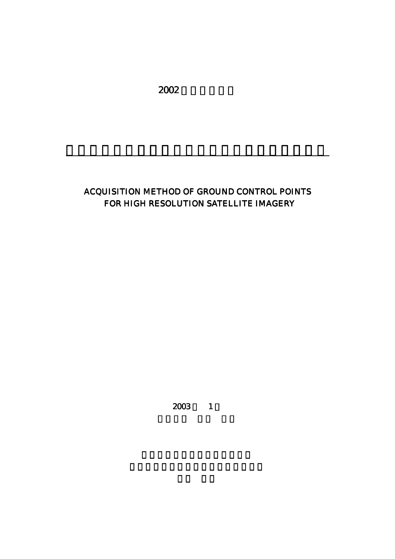2002

## ACQUISITION METHOD OF GROUND CONTROL POINTS FOR HIGH RESOLUTION SATELLITE IMAGERY

高分解能衛星画像における地上基準点の取得方法

 $2003$  1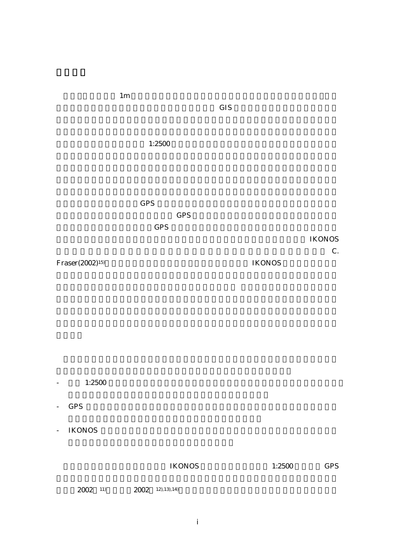|                             |            | $\ensuremath{\mathrm{GIS}}$ |               |                     |
|-----------------------------|------------|-----------------------------|---------------|---------------------|
|                             | 1:2500     |                             |               |                     |
|                             | <b>GPS</b> |                             |               |                     |
|                             | <b>GPS</b> |                             |               |                     |
|                             | GPS        |                             |               |                     |
|                             |            |                             |               | <b>IKONOS</b><br>C. |
| Fraser(2002) <sup>15)</sup> |            |                             | <b>IKONOS</b> |                     |
|                             |            |                             |               |                     |

 $1<sub>m</sub>$ 

 $-1:2500$ 

- GPS  $\blacksquare$
- IKONOS

 $IKONOS$  1:2500 GPS

 $2002$  11),  $2002$  12),13),14)

i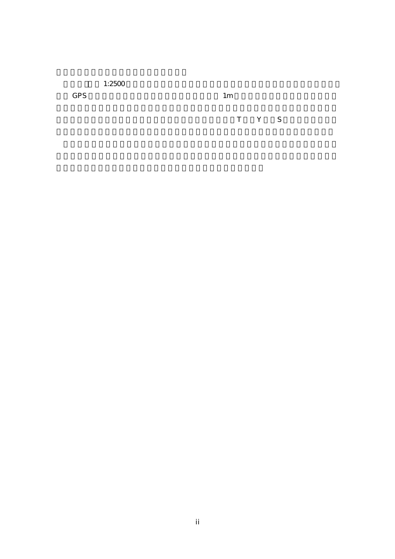$1:2500$ 

 $GPS$  and  $1m$ 

マッチング方法は,相関法を用いた.その結果小さな橋,T 字・Y 字・S カーブの道路,屋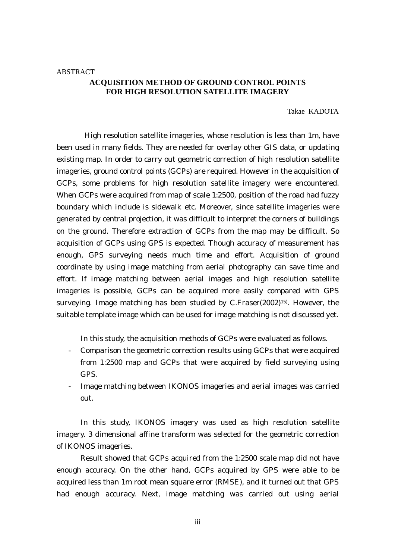## **ACQUISITION METHOD OF GROUND CONTROL POINTS FOR HIGH RESOLUTION SATELLITE IMAGERY**

Takae KADOTA

High resolution satellite imageries, whose resolution is less than 1m, have been used in many fields. They are needed for overlay other GIS data, or updating existing map. In order to carry out geometric correction of high resolution satellite imageries, ground control points (GCPs) are required. However in the acquisition of GCPs, some problems for high resolution satellite imagery were encountered. When GCPs were acquired from map of scale 1:2500, position of the road had fuzzy boundary which include is sidewalk etc. Moreover, since satellite imageries were generated by central projection, it was difficult to interpret the corners of buildings on the ground. Therefore extraction of GCPs from the map may be difficult. So acquisition of GCPs using GPS is expected. Though accuracy of measurement has enough, GPS surveying needs much time and effort. Acquisition of ground coordinate by using image matching from aerial photography can save time and effort. If image matching between aerial images and high resolution satellite imageries is possible, GCPs can be acquired more easily compared with GPS surveying. Image matching has been studied by C.Fraser(2002)15). However, the suitable template image which can be used for image matching is not discussed yet.

In this study, the acquisition methods of GCPs were evaluated as follows.

- Comparison the geometric correction results using GCPs that were acquired from 1:2500 map and GCPs that were acquired by field surveying using GPS.
- Image matching between IKONOS imageries and aerial images was carried out.

In this study, IKONOS imagery was used as high resolution satellite imagery. 3 dimensional affine transform was selected for the geometric correction of IKONOS imageries.

Result showed that GCPs acquired from the 1:2500 scale map did not have enough accuracy. On the other hand, GCPs acquired by GPS were able to be acquired less than 1m root mean square error (RMSE), and it turned out that GPS had enough accuracy. Next, image matching was carried out using aerial